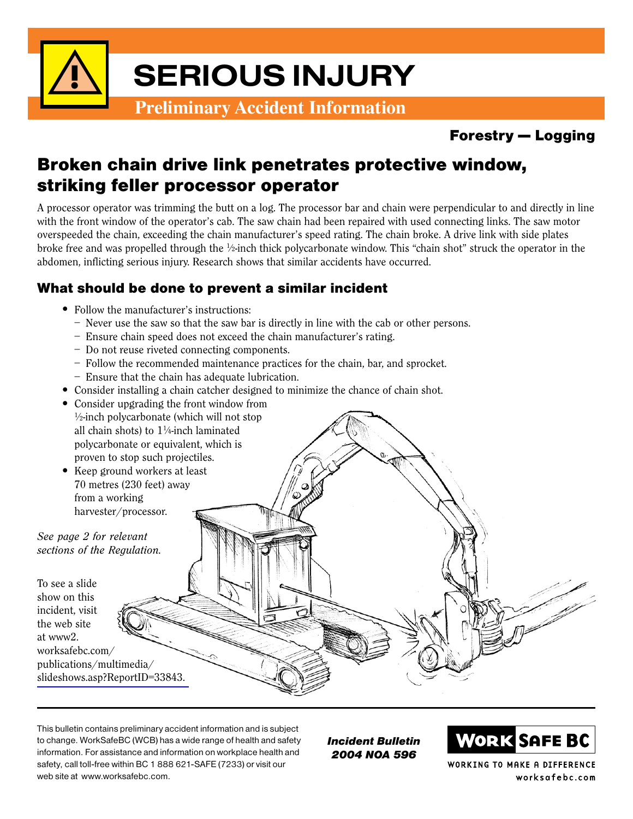

## Forestry — Logging

# Broken chain drive link penetrates protective window, striking feller processor operator

A processor operator was trimming the butt on a log. The processor bar and chain were perpendicular to and directly in line with the front window of the operator's cab. The saw chain had been repaired with used connecting links. The saw motor overspeeded the chain, exceeding the chain manufacturer's speed rating. The chain broke. A drive link with side plates broke free and was propelled through the ½-inch thick polycarbonate window. This "chain shot" struck the operator in the abdomen, inflicting serious injury. Research shows that similar accidents have occurred.

### What should be done to prevent a similar incident

- Follow the manufacturer's instructions:
	- Never use the saw so that the saw bar is directly in line with the cab or other persons.
	- Ensure chain speed does not exceed the chain manufacturer's rating.
	- Do not reuse riveted connecting components.
	- Follow the recommended maintenance practices for the chain, bar, and sprocket.
	- Ensure that the chain has adequate lubrication.
- Consider installing a chain catcher designed to minimize the chance of chain shot.
- Consider upgrading the front window from
- 1 ⁄2-inch polycarbonate (which will not stop all chain shots) to  $1\frac{1}{4}$ -inch laminated polycarbonate or equivalent, which is proven to stop such projectiles. • Keep ground workers at least 70 metres (230 feet) away from a working harvester/processor. See page 2 for relevant sections of the Regulation. To see a slide show on this incident, visit the web site at www2. worksafebc.com/ publications/multimedia/ [slideshows.asp?ReportID=33843.](http://www2.worksafebc.com/publications/multimedia/slideshows.asp?ReportID=33843.)

This bulletin contains preliminary accident information and is subject to change. WorkSafeBC (WCB) has a wide range of health and safety information. For assistance and information on workplace health and safety, call toll-free within BC 1 888 621-SAFE (7233) or visit our web site at www.worksafebc.com.

Incident Bulletin 2004 NOA 596



WORKING TO MAKE A DIFFERENCE worksafebc.com